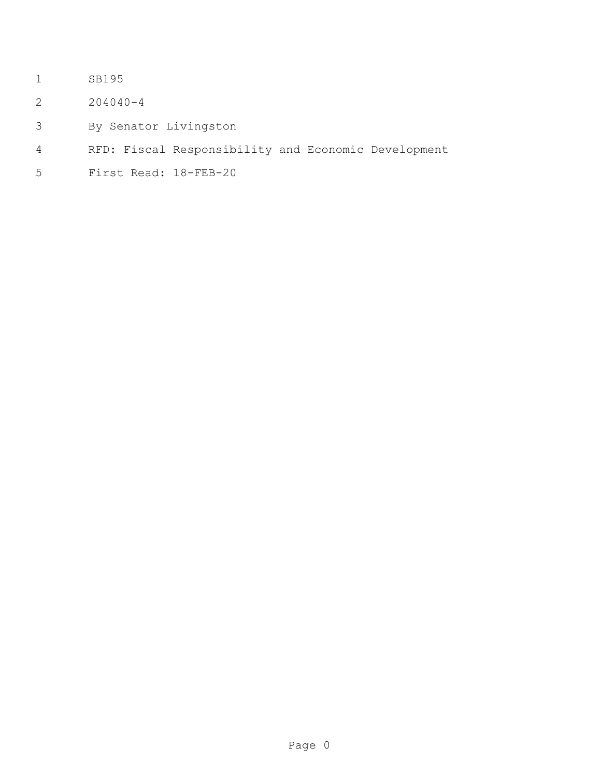- SB195
- 204040-4
- By Senator Livingston
- RFD: Fiscal Responsibility and Economic Development
- First Read: 18-FEB-20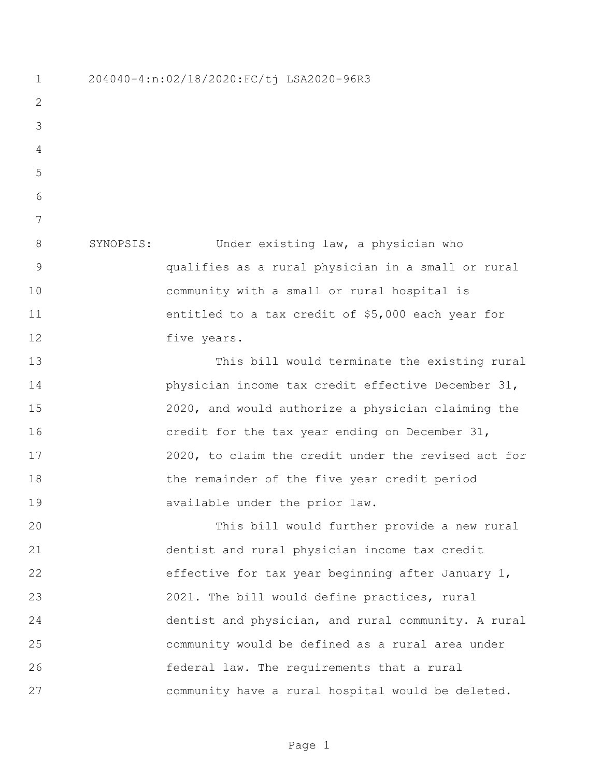204040-4:n:02/18/2020:FC/tj LSA2020-96R3 SYNOPSIS: Under existing law, a physician who qualifies as a rural physician in a small or rural community with a small or rural hospital is entitled to a tax credit of \$5,000 each year for 12 five years. This bill would terminate the existing rural physician income tax credit effective December 31, 2020, and would authorize a physician claiming the credit for the tax year ending on December 31, 2020, to claim the credit under the revised act for the remainder of the five year credit period available under the prior law. This bill would further provide a new rural dentist and rural physician income tax credit effective for tax year beginning after January 1, 2021. The bill would define practices, rural dentist and physician, and rural community. A rural community would be defined as a rural area under federal law. The requirements that a rural community have a rural hospital would be deleted.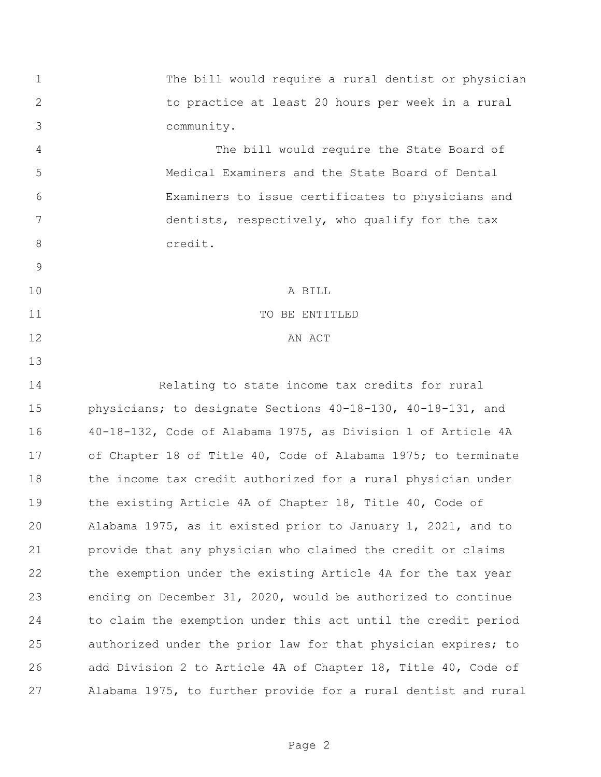The bill would require a rural dentist or physician to practice at least 20 hours per week in a rural community.

 The bill would require the State Board of Medical Examiners and the State Board of Dental Examiners to issue certificates to physicians and dentists, respectively, who qualify for the tax 8 credit.

 A BILL 11 TO BE ENTITLED 12 AN ACT

 Relating to state income tax credits for rural physicians; to designate Sections 40-18-130, 40-18-131, and 40-18-132, Code of Alabama 1975, as Division 1 of Article 4A of Chapter 18 of Title 40, Code of Alabama 1975; to terminate the income tax credit authorized for a rural physician under the existing Article 4A of Chapter 18, Title 40, Code of Alabama 1975, as it existed prior to January 1, 2021, and to provide that any physician who claimed the credit or claims the exemption under the existing Article 4A for the tax year ending on December 31, 2020, would be authorized to continue to claim the exemption under this act until the credit period authorized under the prior law for that physician expires; to add Division 2 to Article 4A of Chapter 18, Title 40, Code of Alabama 1975, to further provide for a rural dentist and rural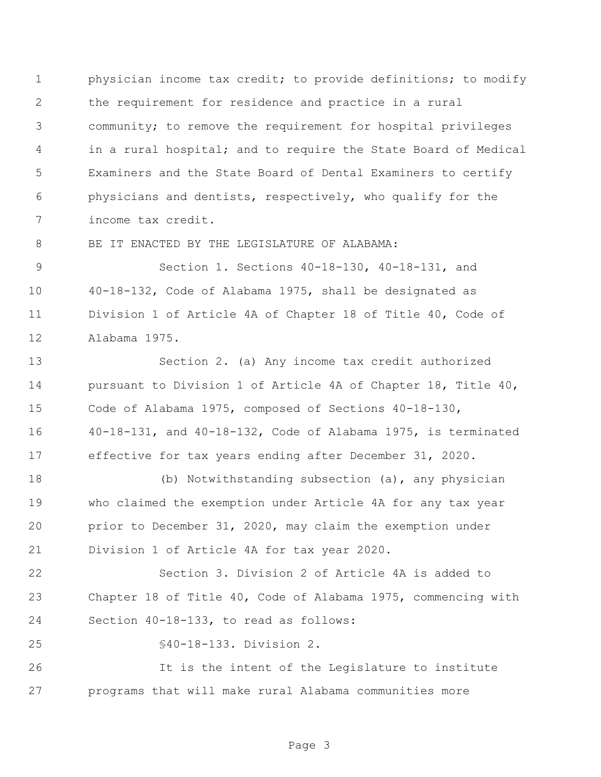physician income tax credit; to provide definitions; to modify the requirement for residence and practice in a rural community; to remove the requirement for hospital privileges in a rural hospital; and to require the State Board of Medical Examiners and the State Board of Dental Examiners to certify physicians and dentists, respectively, who qualify for the income tax credit.

8 BE IT ENACTED BY THE LEGISLATURE OF ALABAMA:

 Section 1. Sections 40-18-130, 40-18-131, and 40-18-132, Code of Alabama 1975, shall be designated as Division 1 of Article 4A of Chapter 18 of Title 40, Code of Alabama 1975.

 Section 2. (a) Any income tax credit authorized pursuant to Division 1 of Article 4A of Chapter 18, Title 40, Code of Alabama 1975, composed of Sections 40-18-130, 40-18-131, and 40-18-132, Code of Alabama 1975, is terminated effective for tax years ending after December 31, 2020.

 (b) Notwithstanding subsection (a), any physician who claimed the exemption under Article 4A for any tax year prior to December 31, 2020, may claim the exemption under Division 1 of Article 4A for tax year 2020.

 Section 3. Division 2 of Article 4A is added to Chapter 18 of Title 40, Code of Alabama 1975, commencing with Section 40-18-133, to read as follows:

§40-18-133. Division 2.

 It is the intent of the Legislature to institute programs that will make rural Alabama communities more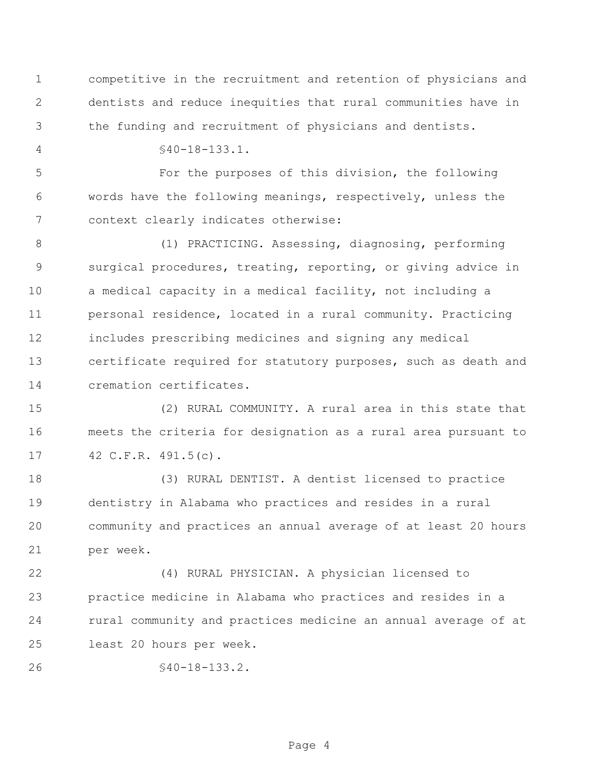competitive in the recruitment and retention of physicians and dentists and reduce inequities that rural communities have in the funding and recruitment of physicians and dentists.

§40-18-133.1.

 For the purposes of this division, the following words have the following meanings, respectively, unless the context clearly indicates otherwise:

 (1) PRACTICING. Assessing, diagnosing, performing surgical procedures, treating, reporting, or giving advice in a medical capacity in a medical facility, not including a personal residence, located in a rural community. Practicing includes prescribing medicines and signing any medical certificate required for statutory purposes, such as death and cremation certificates.

 (2) RURAL COMMUNITY. A rural area in this state that meets the criteria for designation as a rural area pursuant to 42 C.F.R. 491.5(c).

 (3) RURAL DENTIST. A dentist licensed to practice dentistry in Alabama who practices and resides in a rural community and practices an annual average of at least 20 hours per week.

 (4) RURAL PHYSICIAN. A physician licensed to practice medicine in Alabama who practices and resides in a rural community and practices medicine an annual average of at least 20 hours per week.

```
26 §40-18-133.2.
```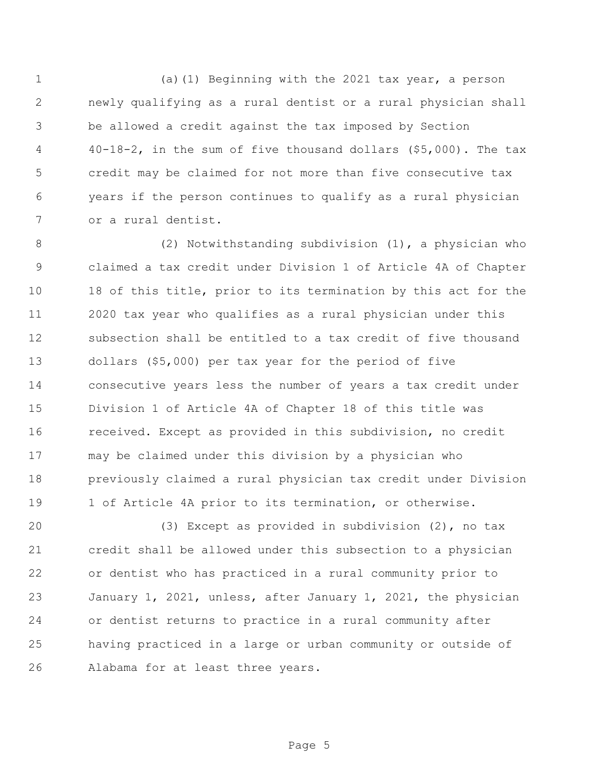(a)(1) Beginning with the 2021 tax year, a person newly qualifying as a rural dentist or a rural physician shall be allowed a credit against the tax imposed by Section 40-18-2, in the sum of five thousand dollars (\$5,000). The tax credit may be claimed for not more than five consecutive tax years if the person continues to qualify as a rural physician or a rural dentist.

 (2) Notwithstanding subdivision (1), a physician who claimed a tax credit under Division 1 of Article 4A of Chapter 18 of this title, prior to its termination by this act for the 2020 tax year who qualifies as a rural physician under this subsection shall be entitled to a tax credit of five thousand dollars (\$5,000) per tax year for the period of five consecutive years less the number of years a tax credit under Division 1 of Article 4A of Chapter 18 of this title was received. Except as provided in this subdivision, no credit may be claimed under this division by a physician who previously claimed a rural physician tax credit under Division 1 of Article 4A prior to its termination, or otherwise.

 (3) Except as provided in subdivision (2), no tax credit shall be allowed under this subsection to a physician or dentist who has practiced in a rural community prior to January 1, 2021, unless, after January 1, 2021, the physician or dentist returns to practice in a rural community after having practiced in a large or urban community or outside of Alabama for at least three years.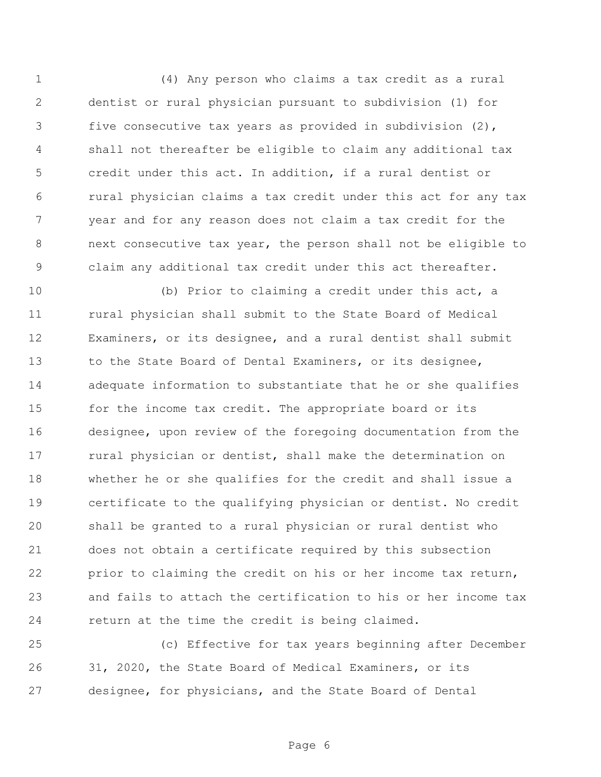(4) Any person who claims a tax credit as a rural dentist or rural physician pursuant to subdivision (1) for five consecutive tax years as provided in subdivision (2), shall not thereafter be eligible to claim any additional tax credit under this act. In addition, if a rural dentist or rural physician claims a tax credit under this act for any tax year and for any reason does not claim a tax credit for the next consecutive tax year, the person shall not be eligible to claim any additional tax credit under this act thereafter.

 (b) Prior to claiming a credit under this act, a rural physician shall submit to the State Board of Medical Examiners, or its designee, and a rural dentist shall submit 13 to the State Board of Dental Examiners, or its designee, adequate information to substantiate that he or she qualifies 15 for the income tax credit. The appropriate board or its designee, upon review of the foregoing documentation from the 17 rural physician or dentist, shall make the determination on whether he or she qualifies for the credit and shall issue a certificate to the qualifying physician or dentist. No credit shall be granted to a rural physician or rural dentist who does not obtain a certificate required by this subsection prior to claiming the credit on his or her income tax return, and fails to attach the certification to his or her income tax return at the time the credit is being claimed.

 (c) Effective for tax years beginning after December 31, 2020, the State Board of Medical Examiners, or its designee, for physicians, and the State Board of Dental

Page 6